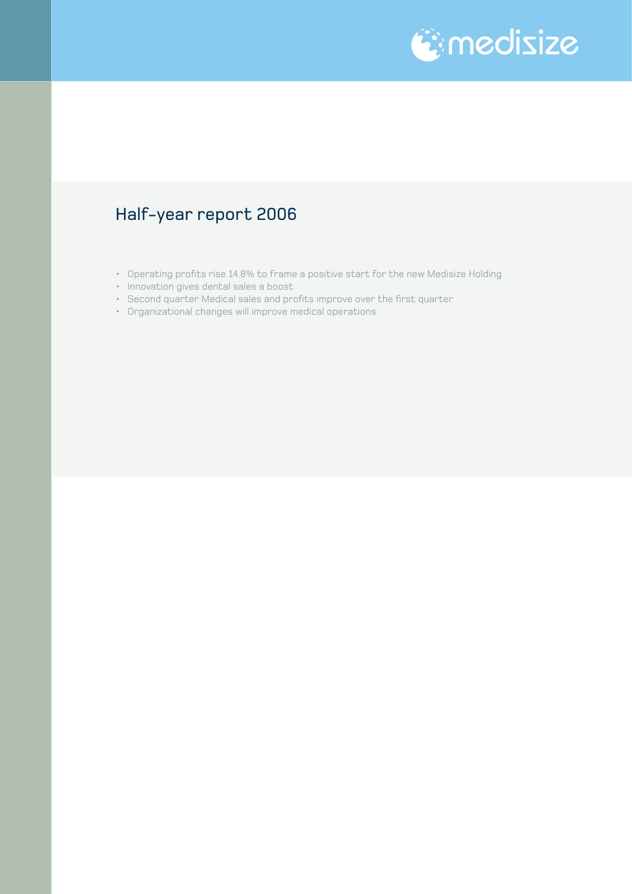

### Half-year report 2006

- Operating profits rise 14.8% to frame a positive start for the new Medisize Holding
- Innovation gives dental sales a boost
- Second quarter Medical sales and profits improve over the first quarter
- Organizational changes will improve medical operations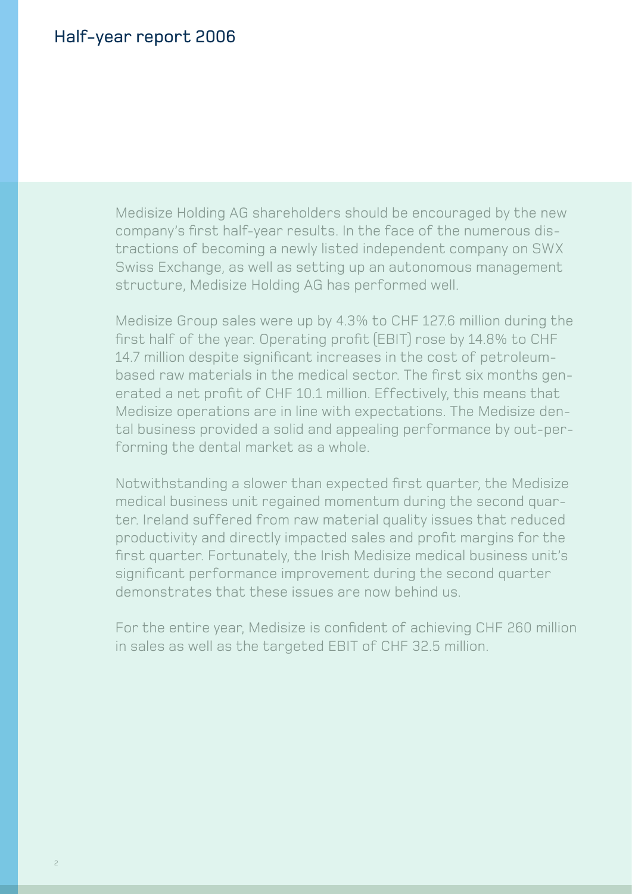### Half-year report 2006

Medisize Holding AG shareholders should be encouraged by the new company's first half-year results. In the face of the numerous distractions of becoming a newly listed independent company on SWX Swiss Exchange, as well as setting up an autonomous management structure, Medisize Holding AG has performed well.

Medisize Group sales were up by 4.3% to CHF 127.6 million during the first half of the year. Operating profit (EBIT) rose by 14.8% to CHF 14.7 million despite significant increases in the cost of petroleumbased raw materials in the medical sector. The first six months generated a net profit of CHF 10.1 million. Effectively, this means that Medisize operations are in line with expectations. The Medisize dental business provided a solid and appealing performance by out-performing the dental market as a whole.

Notwithstanding a slower than expected first quarter, the Medisize medical business unit regained momentum during the second quarter. Ireland suffered from raw material quality issues that reduced productivity and directly impacted sales and profit margins for the first quarter. Fortunately, the Irish Medisize medical business unit's significant performance improvement during the second quarter demonstrates that these issues are now behind us.

For the entire year, Medisize is confident of achieving CHF 260 million in sales as well as the targeted EBIT of CHF 32.5 million.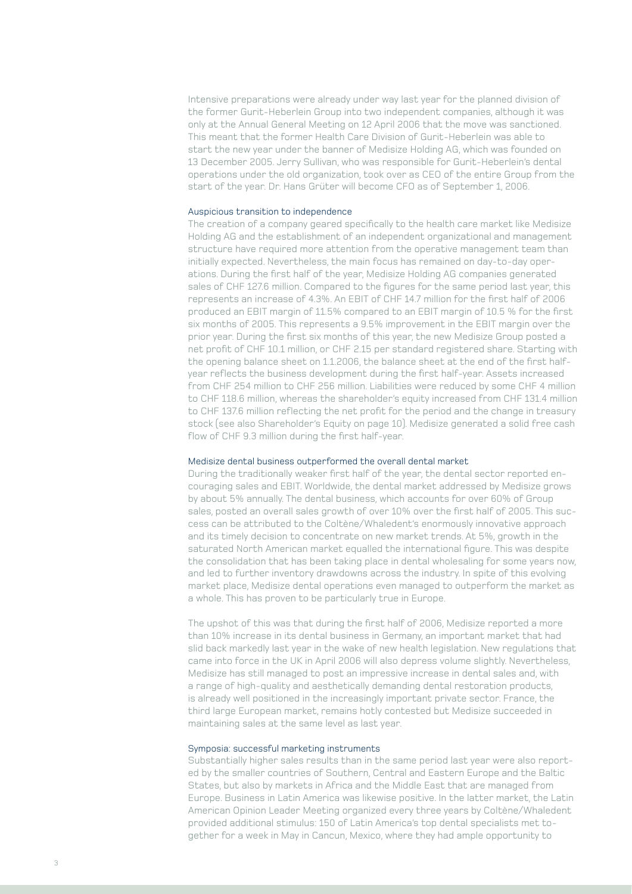Intensive preparations were already under way last year for the planned division of the former Gurit-Heberlein Group into two independent companies, although it was only at the Annual General Meeting on 12 April 2006 that the move was sanctioned. This meant that the former Health Care Division of Gurit-Heberlein was able to start the new year under the banner of Medisize Holding AG, which was founded on 13 December 2005. Jerry Sullivan, who was responsible for Gurit-Heberlein's dental operations under the old organization, took over as CEO of the entire Group from the start of the year. Dr. Hans Grüter will become CFO as of September 1, 2006.

### Auspicious transition to independence

The creation of a company geared specifically to the health care market like Medisize Holding AG and the establishment of an independent organizational and management structure have required more attention from the operative management team than initially expected. Nevertheless, the main focus has remained on day-to-day operations. During the first half of the year, Medisize Holding AG companies generated sales of CHF 127.6 million. Compared to the figures for the same period last year, this represents an increase of 4.3%. An EBIT of CHF 14.7 million for the first half of 2006 produced an EBIT margin of 11.5% compared to an EBIT margin of 10.5 % for the first six months of 2005. This represents a 9.5% improvement in the EBIT margin over the prior year. During the first six months of this year, the new Medisize Group posted a net profit of CHF 10.1 million, or CHF 2.15 per standard registered share. Starting with the opening balance sheet on 1.1.2006, the balance sheet at the end of the first halfyear reflects the business development during the first half-year. Assets increased from CHF 254 million to CHF 256 million. Liabilities were reduced by some CHF 4 million to CHF 118.6 million, whereas the shareholder's equity increased from CHF 131.4 million to CHF 137.6 million reflecting the net profit for the period and the change in treasury stock (see also Shareholder's Equity on page 10). Medisize generated a solid free cash flow of CHF 9.3 million during the first half-year.

#### Medisize dental business outperformed the overall dental market

During the traditionally weaker first half of the year, the dental sector reported encouraging sales and EBIT. Worldwide, the dental market addressed by Medisize grows by about 5% annually. The dental business, which accounts for over 60% of Group sales, posted an overall sales growth of over 10% over the first half of 2005. This success can be attributed to the Coltène/Whaledent's enormously innovative approach and its timely decision to concentrate on new market trends. At 5%, growth in the saturated North American market equalled the international figure. This was despite the consolidation that has been taking place in dental wholesaling for some years now, and led to further inventory drawdowns across the industry. In spite of this evolving market place, Medisize dental operations even managed to outperform the market as a whole. This has proven to be particularly true in Europe.

The upshot of this was that during the first half of 2006, Medisize reported a more than 10% increase in its dental business in Germany, an important market that had slid back markedly last year in the wake of new health legislation. New regulations that came into force in the UK in April 2006 will also depress volume slightly. Nevertheless, Medisize has still managed to post an impressive increase in dental sales and, with a range of high-quality and aesthetically demanding dental restoration products, is already well positioned in the increasingly important private sector. France, the third large European market, remains hotly contested but Medisize succeeded in maintaining sales at the same level as last year.

### Symposia: successful marketing instruments

Substantially higher sales results than in the same period last year were also reported by the smaller countries of Southern, Central and Eastern Europe and the Baltic States, but also by markets in Africa and the Middle East that are managed from Europe. Business in Latin America was likewise positive. In the latter market, the Latin American Opinion Leader Meeting organized every three years by Coltène/Whaledent provided additional stimulus: 150 of Latin America's top dental specialists met together for a week in May in Cancun, Mexico, where they had ample opportunity to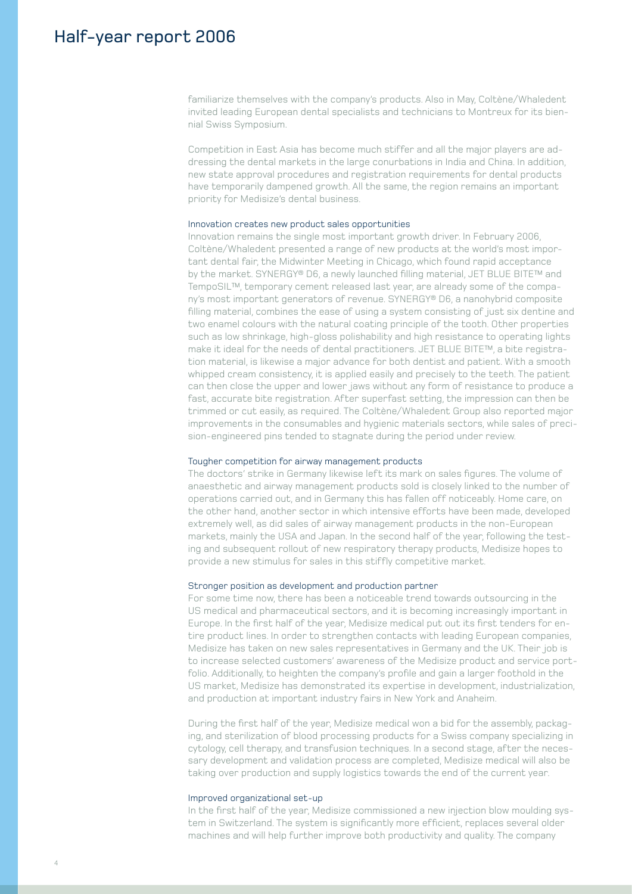### Half-year report 2006

familiarize themselves with the company's products. Also in May, Coltène/Whaledent invited leading European dental specialists and technicians to Montreux for its biennial Swiss Symposium.

Competition in East Asia has become much stiffer and all the major players are addressing the dental markets in the large conurbations in India and China. In addition, new state approval procedures and registration requirements for dental products have temporarily dampened growth. All the same, the region remains an important priority for Medisize's dental business.

### Innovation creates new product sales opportunities

Innovation remains the single most important growth driver. In February 2006, Coltène/Whaledent presented a range of new products at the world's most important dental fair, the Midwinter Meeting in Chicago, which found rapid acceptance by the market. SYNERGY® D6, a newly launched filling material, JET BLUE BITE™ and TempoSIL™, temporary cement released last year, are already some of the company's most important generators of revenue. SYNERGY® D6, a nanohybrid composite filling material, combines the ease of using a system consisting of just six dentine and two enamel colours with the natural coating principle of the tooth. Other properties such as low shrinkage, high-gloss polishability and high resistance to operating lights make it ideal for the needs of dental practitioners. JET BLUE BITE™, a bite registration material, is likewise a major advance for both dentist and patient. With a smooth whipped cream consistency, it is applied easily and precisely to the teeth. The patient can then close the upper and lower jaws without any form of resistance to produce a fast, accurate bite registration. After superfast setting, the impression can then be trimmed or cut easily, as required. The Coltène/Whaledent Group also reported major improvements in the consumables and hygienic materials sectors, while sales of precision-engineered pins tended to stagnate during the period under review.

#### Tougher competition for airway management products

The doctors' strike in Germany likewise left its mark on sales figures. The volume of anaesthetic and airway management products sold is closely linked to the number of operations carried out, and in Germany this has fallen off noticeably. Home care, on the other hand, another sector in which intensive efforts have been made, developed extremely well, as did sales of airway management products in the non-European markets, mainly the USA and Japan. In the second half of the year, following the testing and subsequent rollout of new respiratory therapy products, Medisize hopes to provide a new stimulus for sales in this stiffly competitive market.

### Stronger position as development and production partner

For some time now, there has been a noticeable trend towards outsourcing in the US medical and pharmaceutical sectors, and it is becoming increasingly important in Europe. In the first half of the year, Medisize medical put out its first tenders for entire product lines. In order to strengthen contacts with leading European companies, Medisize has taken on new sales representatives in Germany and the UK. Their job is to increase selected customers' awareness of the Medisize product and service portfolio. Additionally, to heighten the company's profile and gain a larger foothold in the US market, Medisize has demonstrated its expertise in development, industrialization, and production at important industry fairs in New York and Anaheim.

During the first half of the year, Medisize medical won a bid for the assembly, packaging, and sterilization of blood processing products for a Swiss company specializing in cytology, cell therapy, and transfusion techniques. In a second stage, after the necessary development and validation process are completed, Medisize medical will also be taking over production and supply logistics towards the end of the current year.

### Improved organizational set-up

In the first half of the year, Medisize commissioned a new injection blow moulding system in Switzerland. The system is significantly more efficient, replaces several older machines and will help further improve both productivity and quality. The company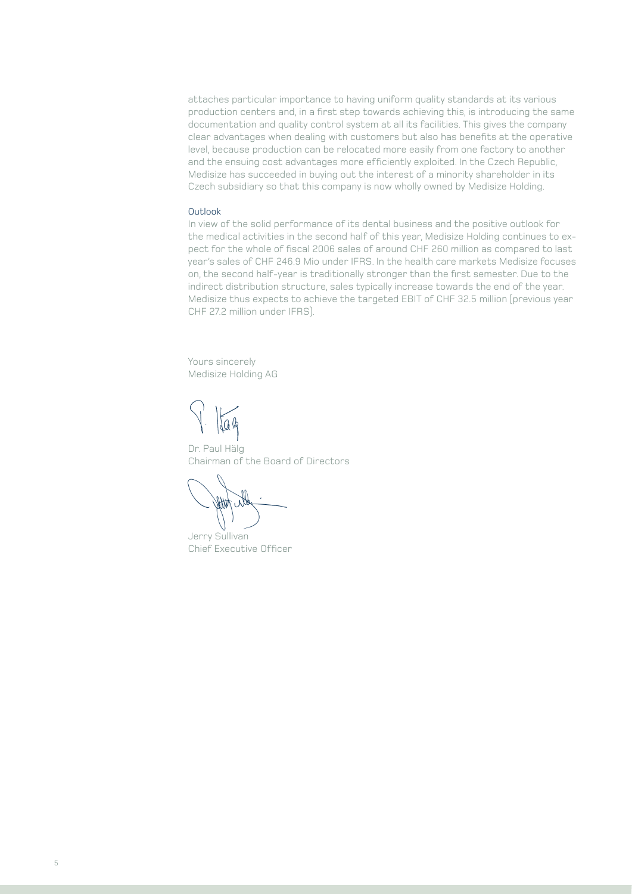attaches particular importance to having uniform quality standards at its various production centers and, in a first step towards achieving this, is introducing the same documentation and quality control system at all its facilities. This gives the company clear advantages when dealing with customers but also has benefits at the operative level, because production can be relocated more easily from one factory to another and the ensuing cost advantages more efficiently exploited. In the Czech Republic, Medisize has succeeded in buying out the interest of a minority shareholder in its Czech subsidiary so that this company is now wholly owned by Medisize Holding.

### Outlook

In view of the solid performance of its dental business and the positive outlook for the medical activities in the second half of this year, Medisize Holding continues to expect for the whole of fiscal 2006 sales of around CHF 260 million as compared to last year's sales of CHF 246.9 Mio under IFRS. In the health care markets Medisize focuses on, the second half-year is traditionally stronger than the first semester. Due to the indirect distribution structure, sales typically increase towards the end of the year. Medisize thus expects to achieve the targeted EBIT of CHF 32.5 million (previous year CHF 27.2 million under IFRS).

Yours sincerely Medisize Holding AG

Jag

Dr. Paul Hälg Chairman of the Board of Directors

HAA

Jerry Sullivan Chief Executive Officer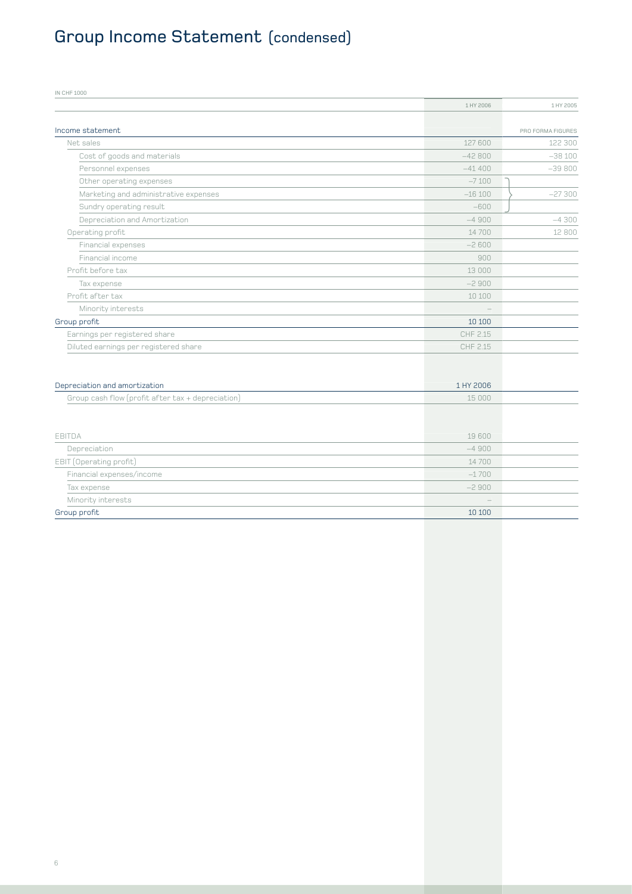## Group Income Statement (condensed)

| IN CHF 1000                                       |           |                   |
|---------------------------------------------------|-----------|-------------------|
|                                                   | 1 HY 2006 | 1 HY 2005         |
|                                                   |           |                   |
| Income statement                                  |           | PRO FORMA FIGURES |
| Net sales                                         | 127 600   | 122 300           |
| Cost of goods and materials                       | $-42800$  | $-38100$          |
| Personnel expenses                                | $-41400$  | $-39800$          |
| Other operating expenses                          | $-7100$   |                   |
| Marketing and administrative expenses             | $-16100$  | $-27300$          |
| Sundry operating result                           | $-600$    |                   |
| Depreciation and Amortization                     | $-4900$   | $-4300$           |
| Operating profit                                  | 14700     | 12 800            |
| Financial expenses                                | $-2600$   |                   |
| Financial income                                  | 900       |                   |
| Profit before tax                                 | 13 000    |                   |
| Tax expense                                       | $-2900$   |                   |
| Profit after tax                                  | 10 100    |                   |
| Minority interests                                |           |                   |
| Group profit                                      | 10 10 0   |                   |
| Earnings per registered share                     | CHF 2.15  |                   |
| Diluted earnings per registered share             | CHF 2.15  |                   |
|                                                   |           |                   |
|                                                   |           |                   |
| Depreciation and amortization                     | 1 HY 2006 |                   |
| Group cash flow (profit after tax + depreciation) | 15 000    |                   |
|                                                   |           |                   |
| <b>EBITDA</b>                                     | 19 600    |                   |
|                                                   |           |                   |

| Group profit              | 10 100  |  |
|---------------------------|---------|--|
| Minority interests        | $\sim$  |  |
| Tax expense               | $-2900$ |  |
| Financial expenses/income | $-1700$ |  |
| EBIT (Operating profit)   | 14 700  |  |
| Depreciation              | $-4900$ |  |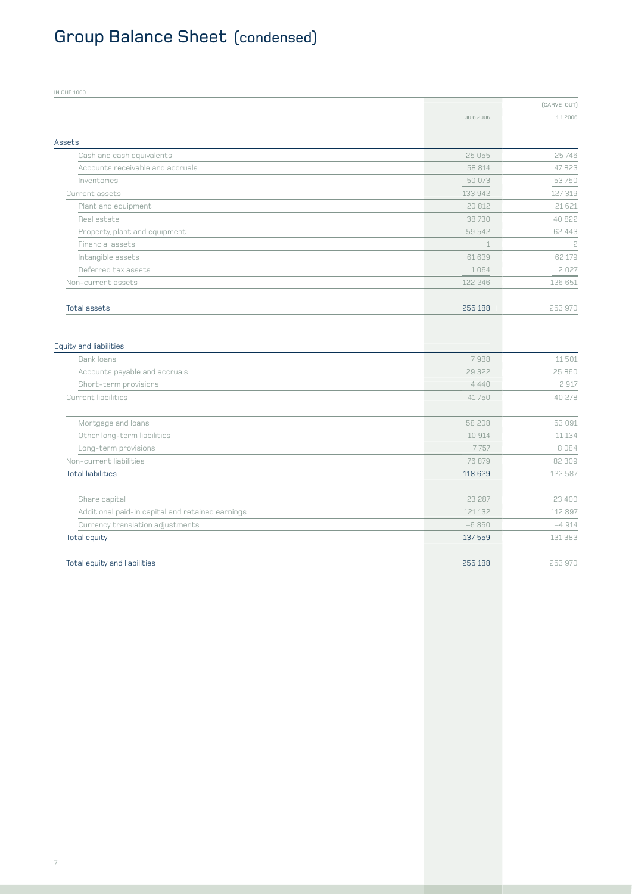# Group Balance Sheet (condensed)

| <b>IN CHF 1000</b>                               |             |             |
|--------------------------------------------------|-------------|-------------|
|                                                  |             | (CARVE-OUT) |
|                                                  | 30.6.2006   | 1.1.2006    |
|                                                  |             |             |
| Assets                                           |             |             |
| Cash and cash equivalents                        | 25 055      | 25 746      |
| Accounts receivable and accruals                 | 58 814      | 47823       |
| Inventories                                      | 50 073      | 53750       |
| Current assets                                   | 133 942     | 127 319     |
| Plant and equipment                              | 20 812      | 21 621      |
| Real estate                                      | 38730       | 40 822      |
| Property, plant and equipment                    | 59 542      | 62 443      |
| <b>Financial assets</b>                          | $\mathbf 1$ | 2           |
| Intangible assets                                | 61639       | 62 179      |
| Deferred tax assets                              | 1064        | 2027        |
| Non-current assets                               | 122 246     | 126 651     |
| <b>Total assets</b>                              | 256 188     | 253 970     |
| <b>Equity and liabilities</b>                    |             |             |
| Bank loans                                       | 7988        | 11 501      |
| Accounts payable and accruals                    | 29 322      | 25 860      |
| Short-term provisions                            | 4 4 4 0     | 2 917       |
| Current liabilities                              | 41750       | 40 278      |
|                                                  |             |             |
| Mortgage and loans                               | 58 208      | 63 091      |
| Other long-term liabilities                      | 10 914      | 11 134      |
| Long-term provisions                             | 7757        | 8 0 8 4     |
| Non-current liabilities                          | 76 879      | 82 309      |
| <b>Total liabilities</b>                         | 118 629     | 122 587     |
|                                                  |             |             |
| Share capital                                    | 23 287      | 23 400      |
| Additional paid-in capital and retained earnings | 121 132     | 112 897     |
| Currency translation adjustments                 | $-6860$     | $-4914$     |
| Total equity                                     | 137 559     | 131 383     |
| Total equity and liabilities                     | 256 188     | 253 970     |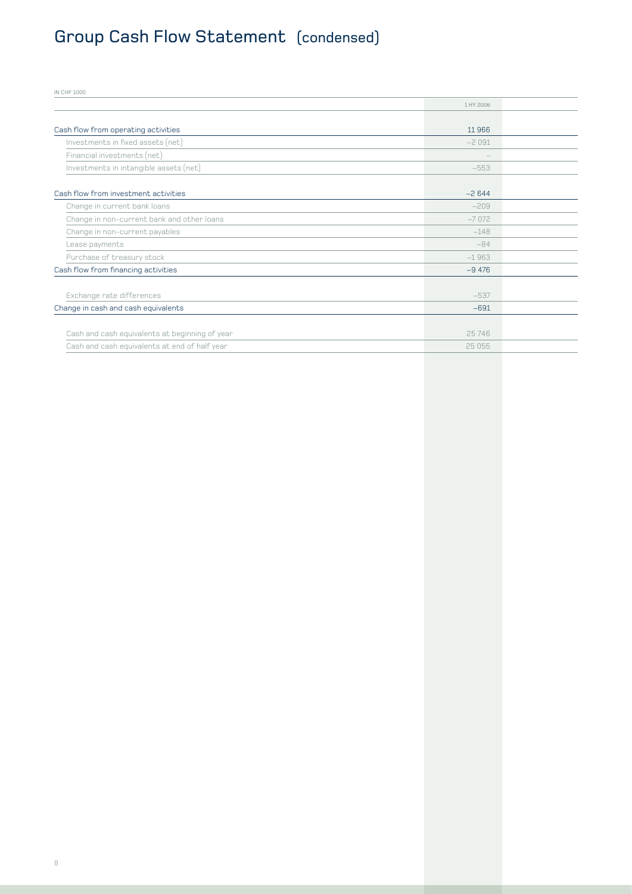## Group Cash Flow Statement (condensed)

| <b>IN CHF 1000</b>                             |           |
|------------------------------------------------|-----------|
|                                                | 1 HY 2006 |
|                                                |           |
| Cash flow from operating activities            | 11966     |
| Investments in fixed assets (net)              | $-2091$   |
| Financial investments (net)                    |           |
| Investments in intangible assets (net)         | $-553$    |
|                                                |           |
| Cash flow from investment activities           | $-2644$   |
| Change in current bank loans                   | $-209$    |
| Change in non-current bank and other loans     | $-7072$   |
| Change in non-current payables                 | $-148$    |
| Lease payments                                 | $-84$     |
| Purchase of treasury stock                     | $-1963$   |
| Cash flow from financing activities            | $-9,476$  |
|                                                |           |
| Exchange rate differences                      | $-537$    |
| Change in cash and cash equivalents            | $-691$    |
|                                                |           |
| Cash and cash equivalents at beginning of year | 25746     |
| Cash and cash equivalents at end of half year  | 25 055    |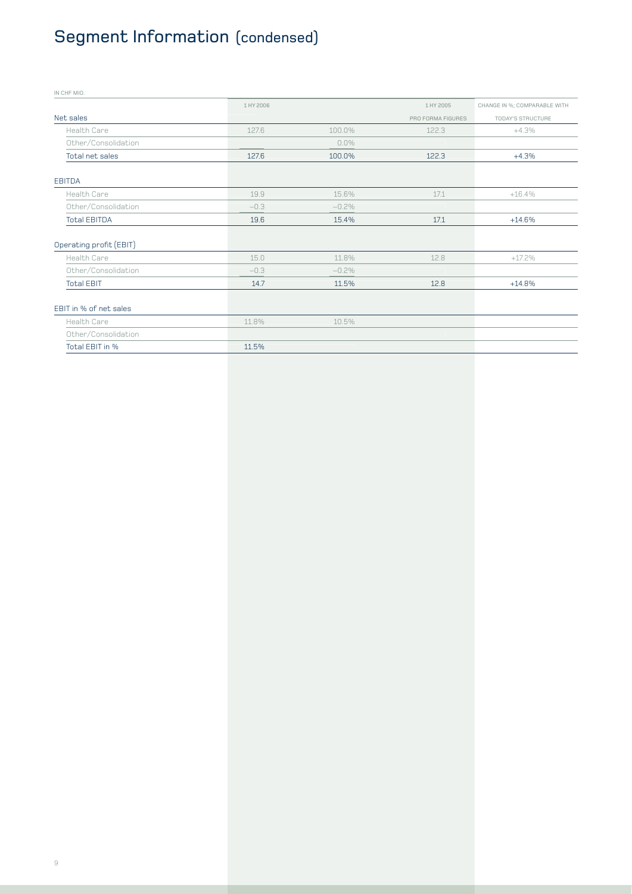## Segment Information (condensed)

| IN CHF MIO.             |           |         |                   |                              |
|-------------------------|-----------|---------|-------------------|------------------------------|
|                         | 1 HY 2006 |         | 1 HY 2005         | CHANGE IN %; COMPARABLE WITH |
| Net sales               |           |         | PRO FORMA FIGURES | TODAY'S STRUCTURE            |
| Health Care             | 127.6     | 100.0%  | 122.3             | $+4.3%$                      |
| Other/Consolidation     |           | $0.0\%$ |                   |                              |
| Total net sales         | 127.6     | 100.0%  | 122.3             | $+4.3%$                      |
| <b>EBITDA</b>           |           |         |                   |                              |
| Health Care             | 19.9      | 15.6%   | 17.1              | $+16.4%$                     |
| Other/Consolidation     | $-0.3$    | $-0.2%$ |                   |                              |
| <b>Total EBITDA</b>     | 19.6      | 15.4%   | 17.1              | $+14.6%$                     |
| Operating profit (EBIT) |           |         |                   |                              |
| Health Care             | 15.0      | 11.8%   | 12.8              | $+17.2\%$                    |
| Other/Consolidation     | $-0.3$    | $-0.2%$ |                   |                              |
| <b>Total EBIT</b>       | 14.7      | 11.5%   | 12.8              | $+14.8%$                     |
| EBIT in % of net sales  |           |         |                   |                              |

| Health Care         | 11.8% | 10.5% |  |
|---------------------|-------|-------|--|
| Other/Consolidation |       |       |  |
| Total EBIT in %     | 11.5% |       |  |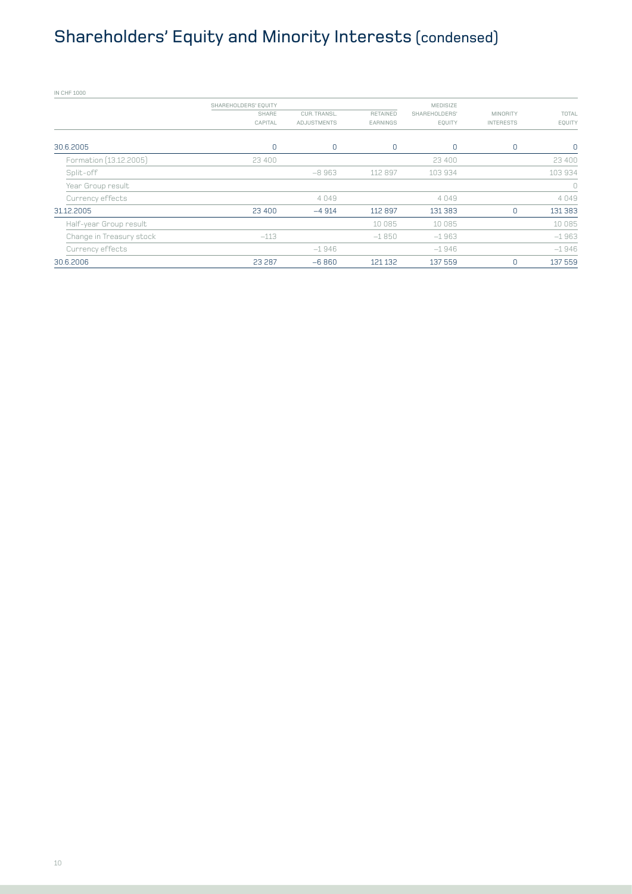## Shareholders' Equity and Minority Interests (condensed)

| <b>IN CHF 1000</b>       |                      |              |          |                 |                  |                |
|--------------------------|----------------------|--------------|----------|-----------------|------------------|----------------|
|                          | SHAREHOLDERS' EQUITY |              |          | <b>MEDISIZE</b> |                  |                |
|                          | SHARE                | CUR. TRANSL. | RETAINED | SHAREHOLDERS'   | <b>MINORITY</b>  | TOTAL          |
|                          | CAPITAL              | ADJUSTMENTS  | EARNINGS | EQUITY          | <b>INTERESTS</b> | EQUITY         |
| 30.6.2005                | 0                    | 0            | 0        | 0               | 0                | $\overline{0}$ |
| Formation (13.12.2005)   | 23 400               |              |          | 23 400          |                  | 23 400         |
| Split-off                |                      | $-8963$      | 112 897  | 103 934         |                  | 103 934        |
| Year Group result        |                      |              |          |                 |                  | $\cup$         |
| Currency effects         |                      | 4049         |          | 4049            |                  | 4049           |
| 31.12.2005               | 23 400               | $-4914$      | 112 897  | 131 383         | $\mathbf 0$      | 131 383        |
| Half-year Group result   |                      |              | 10 085   | 10 085          |                  | 10 085         |
| Change in Treasury stock | $-113$               |              | $-1850$  | $-1963$         |                  | $-1963$        |
| Currency effects         |                      | $-1946$      |          | $-1946$         |                  | $-1946$        |
| 30.6.2006                | 23 287               | $-6860$      | 121 132  | 137 559         | $\mathbf 0$      | 137 559        |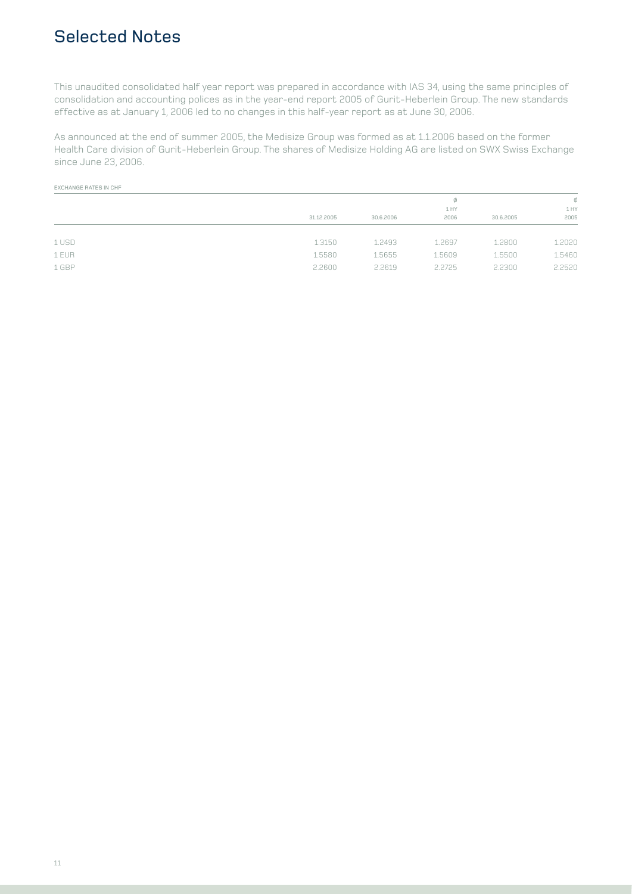### Selected Notes

This unaudited consolidated half year report was prepared in accordance with IAS 34, using the same principles of consolidation and accounting polices as in the year-end report 2005 of Gurit-Heberlein Group. The new standards effective as at January 1, 2006 led to no changes in this half-year report as at June 30, 2006.

As announced at the end of summer 2005, the Medisize Group was formed as at 1.1.2006 based on the former Health Care division of Gurit-Heberlein Group. The shares of Medisize Holding AG are listed on SWX Swiss Exchange since June 23, 2006.

#### EXCHANGE RATES IN CHF

|       |            | 1 HY      |        |           | Ø<br>1 HY |
|-------|------------|-----------|--------|-----------|-----------|
|       | 31.12.2005 | 30.6.2006 | 2006   | 30.6.2005 | 2005      |
| 1 USD | 1.3150     | 1.2493    | 1.2697 | 1.2800    | 1.2020    |
| 1 EUR | 1.5580     | 1.5655    | 1.5609 | 1.5500    | 1.5460    |
| 1 GBP | 2,2600     | 2.2619    | 2.2725 | 2.2300    | 2.2520    |